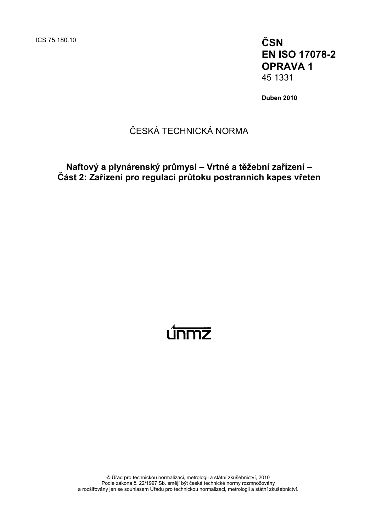ICS 75.180.10 **ČSN** 

**EN ISO 17078-2 OPRAVA 1**  45 1331

**Duben 2010** 

## ČESKÁ TECHNICKÁ NORMA

**Naftový a plynárenský průmysl – Vrtné a těžební zařízení – Část 2: Zařízení pro regulaci průtoku postranních kapes vřeten** 

# <u>únmz</u>

© Úřad pro technickou normalizaci, metrologii a státní zkušebnictví, 2010 Podle zákona č. 22/1997 Sb. smějí být české technické normy rozmnožovány a rozšiřovány jen se souhlasem Úřadu pro technickou normalizaci, metrologii a státní zkušebnictví.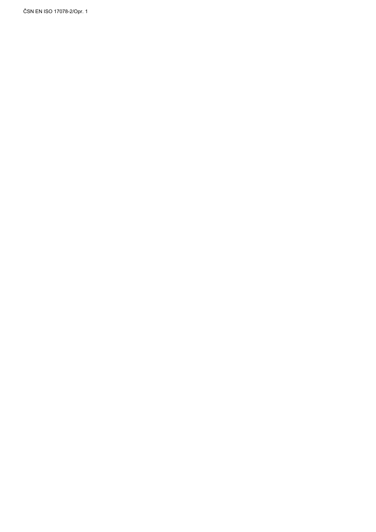ČSN EN ISO 17078-2/Opr. 1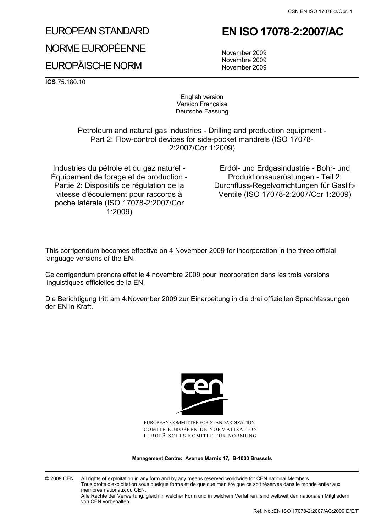## EUROPEAN STANDARD

# **EN ISO 17078-2:2007/AC**

NORME EUROPÉENNE EUROPÄISCHE NORM

 November 2009 Novembre 2009 November 2009

**ICS** 75.180.10

English version Version Française Deutsche Fassung

Petroleum and natural gas industries - Drilling and production equipment -Part 2: Flow-control devices for side-pocket mandrels (ISO 17078- 2:2007/Cor 1:2009)

Industries du pétrole et du gaz naturel - Équipement de forage et de production - Partie 2: Dispositifs de régulation de la vitesse d'écoulement pour raccords à poche latérale (ISO 17078-2:2007/Cor 1:2009)

 Erdöl- und Erdgasindustrie - Bohr- und Produktionsausrüstungen - Teil 2: Durchfluss-Regelvorrichtungen für Gaslift-Ventile (ISO 17078-2:2007/Cor 1:2009)

This corrigendum becomes effective on 4 November 2009 for incorporation in the three official language versions of the EN.

Ce corrigendum prendra effet le 4 novembre 2009 pour incorporation dans les trois versions linguistiques officielles de la EN.

Die Berichtigung tritt am 4.November 2009 zur Einarbeitung in die drei offiziellen Sprachfassungen der EN in Kraft.



EUROPEAN COMMITTEE FOR STANDARDIZATION COMITÉ EUROPÉEN DE NORMALISATION EUROPÄISCHES KOMITEE FÜR NORMUNG

**Management Centre: Avenue Marnix 17, B-1000 Brussels** 

© 2009 CEN All rights of exploitation in any form and by any means reserved worldwide for CEN national Members. Tous droits d'exploitation sous quelque forme et de quelque manière que ce soit réservés dans le monde entier aux membres nationaux du CEN.

Alle Rechte der Verwertung, gleich in welcher Form und in welchem Verfahren, sind weltweit den nationalen Mitgliedern von CEN vorbehalten.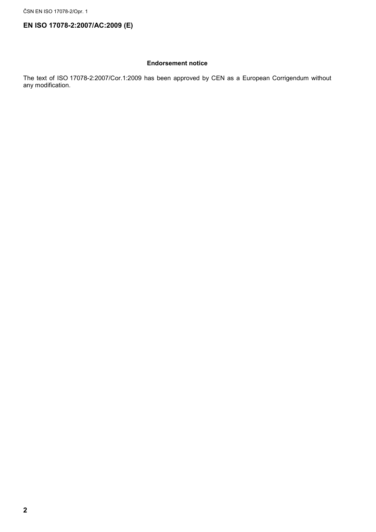ČSN EN ISO 17078-2/Opr. 1

### **EN ISO 17078-2:2007/AC:2009 (E)**

#### **Endorsement notice**

The text of ISO 17078-2:2007/Cor.1:2009 has been approved by CEN as a European Corrigendum without any modification.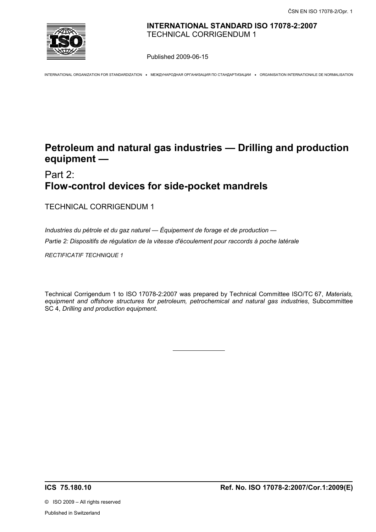

#### **INTERNATIONAL STANDARD ISO 17078-2:2007**  TECHNICAL CORRIGENDUM 1

Published 2009-06-15

INTERNATIONAL ORGANIZATION FOR STANDARDIZATION • МЕЖДУНАРОДНАЯ ОРГАНИЗАЦИЯ ПО СТАНДАРТИЗАЦИИ • ORGANISATION INTERNATIONALE DE NORMALISATION

# **Petroleum and natural gas industries — Drilling and production equipment —**

# Part 2: **Flow-control devices for side-pocket mandrels**

TECHNICAL CORRIGENDUM 1

*Industries du pétrole et du gaz naturel — Équipement de forage et de production — Partie 2: Dispositifs de régulation de la vitesse d'écoulement pour raccords à poche latérale* 

 $\overline{a}$ 

*RECTIFICATIF TECHNIQUE 1*

Technical Corrigendum 1 to ISO 17078-2:2007 was prepared by Technical Committee ISO/TC 67, *Materials, equipment and offshore structures for petroleum, petrochemical and natural gas industries*, Subcommittee SC 4, *Drilling and production equipment*.

©ISO 2009 – All rights reserved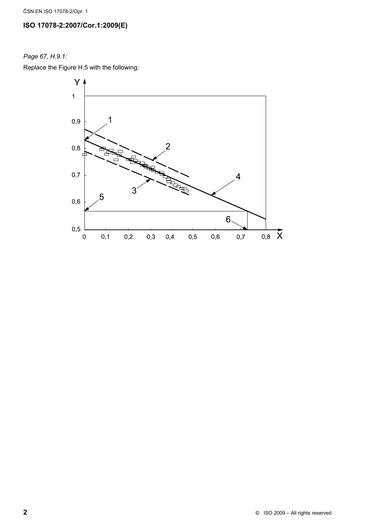ČSN EN ISO 17078-2/Opr. 1

## **ISO 17078-2:2007/Cor.1:2009(E)**

## *Page 67, H.9.1:*

Replace the Figure H.5 with the following: